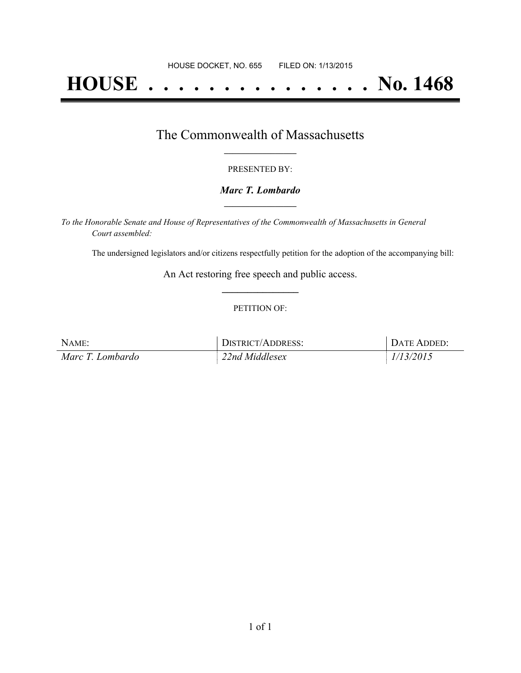# **HOUSE . . . . . . . . . . . . . . . No. 1468**

## The Commonwealth of Massachusetts **\_\_\_\_\_\_\_\_\_\_\_\_\_\_\_\_\_**

#### PRESENTED BY:

#### *Marc T. Lombardo* **\_\_\_\_\_\_\_\_\_\_\_\_\_\_\_\_\_**

*To the Honorable Senate and House of Representatives of the Commonwealth of Massachusetts in General Court assembled:*

The undersigned legislators and/or citizens respectfully petition for the adoption of the accompanying bill:

An Act restoring free speech and public access. **\_\_\_\_\_\_\_\_\_\_\_\_\_\_\_**

#### PETITION OF:

| NAME:            | DISTRICT/ADDRESS: | DATE ADDED: |
|------------------|-------------------|-------------|
| Marc T. Lombardo | 22nd Middlesex    | 1/13/2015   |